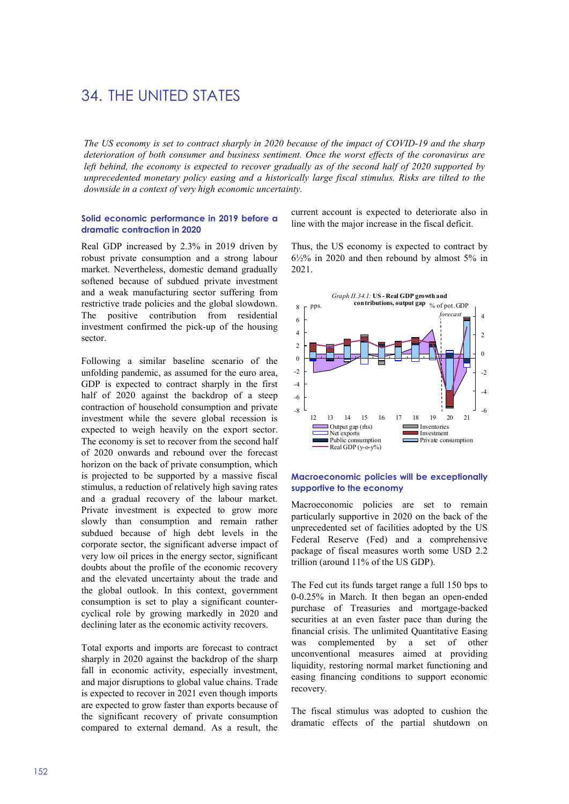# 34. THE UNITED STATES

The US economy is set to contract sharply in 2020 because of the impact of COVID-19 and the sharp deterioration of both consumer and business sentiment. Once the worst effects of the coronavirus are left behind, the economy is expected to recover gradually as of the second half of 2020 supported by unprecedented monetary policy easing and a historically large fiscal stimulus. Risks are tilted to the downside in a context of very high economic uncertainty.

#### Solid economic performance in 2019 before a dramatic contraction in 2020

Real GDP increased by 2.3% in 2019 driven by robust private consumption and a strong labour market. Nevertheless, domestic demand gradually softened because of subdued private investment and a weak manufacturing sector suffering from restrictive trade policies and the global slowdown. The positive contribution from residential investment confirmed the pick-up of the housing sector.

Following a similar baseline scenario of the unfolding pandemic, as assumed for the euro area, GDP is expected to contract sharply in the first half of 2020 against the backdrop of a steep contraction of household consumption and private investment while the severe global recession is expected to weigh heavily on the export sector. The economy is set to recover from the second half of 2020 onwards and rebound over the forecast horizon on the back of private consumption, which is projected to be supported by a massive fiscal stimulus, a reduction of relatively high saving rates and a gradual recovery of the labour market. Private investment is expected to grow more slowly than consumption and remain rather subdued because of high debt levels in the corporate sector, the significant adverse impact of very low oil prices in the energy sector, significant doubts about the profile of the economic recovery and the elevated uncertainty about the trade and the global outlook. In this context, government consumption is set to play a significant countercyclical role by growing markedly in 2020 and declining later as the economic activity recovers.

Total exports and imports are forecast to contract sharply in 2020 against the backdrop of the sharp fall in economic activity, especially investment, and major disruptions to global value chains. Trade is expected to recover in 2021 even though imports are expected to grow faster than exports because of the significant recovery of private consumption compared to external demand. As a result, the

current account is expected to deteriorate also in line with the major increase in the fiscal deficit.

Thus, the US economy is expected to contract by 6½% in 2020 and then rebound by almost 5% in 2021.



#### Macroeconomic policies will be exceptionally supportive to the economy

Macroeconomic policies are set to remain particularly supportive in 2020 on the back of the unprecedented set of facilities adopted by the US Federal Reserve (Fed) and a comprehensive package of fiscal measures worth some USD 2.2 trillion (around 11% of the US GDP).

The Fed cut its funds target range a full 150 bps to 0-0.25% in March. It then began an open-ended purchase of Treasuries and mortgage-backed securities at an even faster pace than during the financial crisis. The unlimited Quantitative Easing was complemented by a set of other unconventional measures aimed at providing liquidity, restoring normal market functioning and easing financing conditions to support economic recovery.

The fiscal stimulus was adopted to cushion the dramatic effects of the partial shutdown on